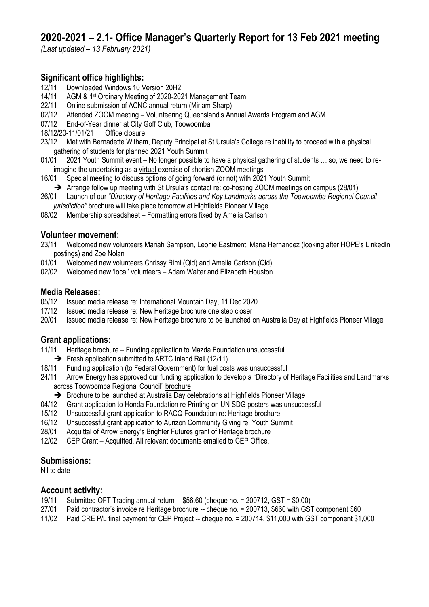# **2020-2021 – 2.1- Office Manager's Quarterly Report for 13 Feb 2021 meeting**

*(Last updated – 13 February 2021)*

# **Significant office highlights:**

- 12/11 Downloaded Windows 10 Version 20H2
- 14/11 AGM & 1st Ordinary Meeting of 2020-2021 Management Team
- 22/11 Online submission of ACNC annual return (Miriam Sharp)
- 02/12 Attended ZOOM meeting Volunteering Queensland's Annual Awards Program and AGM
- 07/12 End-of-Year dinner at City Goff Club, Toowoomba
- 18/12/20-11/01/21 Office closure
- 23/12 Met with Bernadette Witham, Deputy Principal at St Ursula's College re inability to proceed with a physical gathering of students for planned 2021 Youth Summit
- 01/01 2021 Youth Summit event No longer possible to have a physical gathering of students ... so, we need to reimagine the undertaking as a virtual exercise of shortish ZOOM meetings
- 16/01 Special meeting to discuss options of going forward (or not) with 2021 Youth Summit
- ➔ Arrange follow up meeting with St Ursula's contact re: co-hosting ZOOM meetings on campus (28/01)
- 26/01 Launch of our *"Directory of Heritage Facilities and Key Landmarks across the Toowoomba Regional Council jurisdiction"* brochure will take place tomorrow at Highfields Pioneer Village
- 08/02 Membership spreadsheet Formatting errors fixed by Amelia Carlson

## **Volunteer movement:**

- 23/11 Welcomed new volunteers Mariah Sampson, Leonie Eastment, Maria Hernandez (looking after HOPE's LinkedIn postings) and Zoe Nolan
- 01/01 Welcomed new volunteers Chrissy Rimi (Qld) and Amelia Carlson (Qld)
- 02/02 Welcomed new 'local' volunteers Adam Walter and Elizabeth Houston

## **Media Releases:**

- 05/12 Issued media release re: International Mountain Day, 11 Dec 2020
- 17/12 Issued media release re: New Heritage brochure one step closer
- 20/01 Issued media release re: New Heritage brochure to be launched on Australia Day at Highfields Pioneer Village

# **Grant applications:**

- 11/11 Heritage brochure Funding application to Mazda Foundation unsuccessful
	- ➔ Fresh application submitted to ARTC Inland Rail (12/11)
- 18/11 Funding application (to Federal Government) for fuel costs was unsuccessful
- 24/11 Arrow Energy has approved our funding application to develop a "Directory of Heritage Facilities and Landmarks across Toowoomba Regional Council" brochure
	- → Brochure to be launched at Australia Day celebrations at Highfields Pioneer Village
- 04/12 Grant application to Honda Foundation re Printing on UN SDG posters was unsuccessful
- 15/12 Unsuccessful grant application to RACQ Foundation re: Heritage brochure
- 16/12 Unsuccessful grant application to Aurizon Community Giving re: Youth Summit
- 28/01 Acquittal of Arrow Energy's Brighter Futures grant of Heritage brochure
- 12/02 CEP Grant Acquitted. All relevant documents emailed to CEP Office.

## **Submissions:**

Nil to date

# **Account activity:**

- 19/11 Submitted OFT Trading annual return -- \$56.60 (cheque no. = 200712, GST = \$0.00)
- 27/01 Paid contractor's invoice re Heritage brochure -- cheque no. = 200713, \$660 with GST component \$60
- 11/02 Paid CRE P/L final payment for CEP Project -- cheque no. = 200714, \$11,000 with GST component \$1,000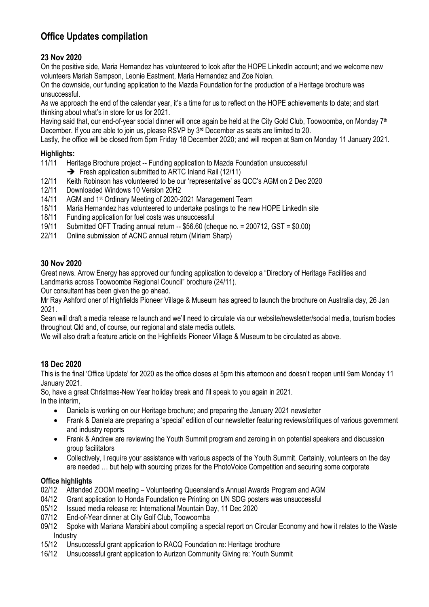# **Office Updates compilation**

# **23 Nov 2020**

On the positive side, Maria Hernandez has volunteered to look after the HOPE LinkedIn account; and we welcome new volunteers Mariah Sampson, Leonie Eastment, Maria Hernandez and Zoe Nolan.

On the downside, our funding application to the Mazda Foundation for the production of a Heritage brochure was unsuccessful.

As we approach the end of the calendar year, it's a time for us to reflect on the HOPE achievements to date; and start thinking about what's in store for us for 2021.

Having said that, our end-of-year social dinner will once again be held at the City Gold Club, Toowoomba, on Monday 7<sup>th</sup> December. If you are able to join us, please RSVP by 3<sup>rd</sup> December as seats are limited to 20.

Lastly, the office will be closed from 5pm Friday 18 December 2020; and will reopen at 9am on Monday 11 January 2021.

#### **Highlights:**

11/11 Heritage Brochure project -- Funding application to Mazda Foundation unsuccessful

- ➔ Fresh application submitted to ARTC Inland Rail (12/11)
- 12/11 Keith Robinson has volunteered to be our 'representative' as QCC's AGM on 2 Dec 2020
- 12/11 Downloaded Windows 10 Version 20H2
- 14/11 AGM and 1st Ordinary Meeting of 2020-2021 Management Team
- 18/11 Maria Hernandez has volunteered to undertake postings to the new HOPE LinkedIn site
- 18/11 Funding application for fuel costs was unsuccessful<br>19/11 Submitted OFT Trading annual return -- \$56.60 (che
- Submitted OFT Trading annual return  $-$  \$56.60 (cheque no. = 200712, GST = \$0.00)
- 22/11 Online submission of ACNC annual return (Miriam Sharp)

#### **30 Nov 2020**

Great news. Arrow Energy has approved our funding application to develop a "Directory of Heritage Facilities and Landmarks across Toowoomba Regional Council" brochure (24/11).

Our consultant has been given the go ahead.

Mr Ray Ashford oner of Highfields Pioneer Village & Museum has agreed to launch the brochure on Australia day, 26 Jan 2021.

Sean will draft a media release re launch and we'll need to circulate via our website/newsletter/social media, tourism bodies throughout Qld and, of course, our regional and state media outlets.

We will also draft a feature article on the Highfields Pioneer Village & Museum to be circulated as above.

#### **18 Dec 2020**

This is the final 'Office Update' for 2020 as the office closes at 5pm this afternoon and doesn't reopen until 9am Monday 11 January 2021.

So, have a great Christmas-New Year holiday break and I'll speak to you again in 2021.

In the interim,

- Daniela is working on our Heritage brochure; and preparing the January 2021 newsletter
- Frank & Daniela are preparing a 'special' edition of our newsletter featuring reviews/critiques of various government and industry reports
- Frank & Andrew are reviewing the Youth Summit program and zeroing in on potential speakers and discussion group facilitators
- Collectively, I require your assistance with various aspects of the Youth Summit. Certainly, volunteers on the day are needed … but help with sourcing prizes for the PhotoVoice Competition and securing some corporate

#### **Office highlights**

- 02/12 Attended ZOOM meeting Volunteering Queensland's Annual Awards Program and AGM
- 04/12 Grant application to Honda Foundation re Printing on UN SDG posters was unsuccessful
- 05/12 Issued media release re: International Mountain Day, 11 Dec 2020
- 07/12 End-of-Year dinner at City Golf Club, Toowoomba
- 09/12 Spoke with Mariana Marabini about compiling a special report on Circular Economy and how it relates to the Waste Industry
- 15/12 Unsuccessful grant application to RACQ Foundation re: Heritage brochure
- 16/12 Unsuccessful grant application to Aurizon Community Giving re: Youth Summit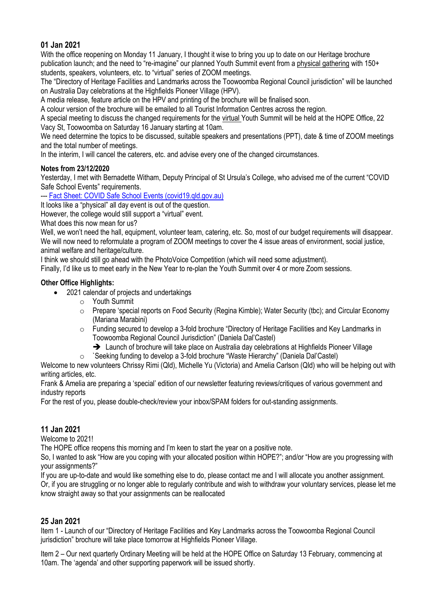## **01 Jan 2021**

With the office reopening on Monday 11 January, I thought it wise to bring you up to date on our Heritage brochure publication launch; and the need to "re-imagine" our planned Youth Summit event from a physical gathering with 150+ students, speakers, volunteers, etc. to "virtual" series of ZOOM meetings.

The "Directory of Heritage Facilities and Landmarks across the Toowoomba Regional Council jurisdiction" will be launched on Australia Day celebrations at the Highfields Pioneer Village (HPV).

A media release, feature article on the HPV and printing of the brochure will be finalised soon.

A colour version of the brochure will be emailed to all Tourist Information Centres across the region.

A special meeting to discuss the changed requirements for the virtual Youth Summit will be held at the HOPE Office, 22 Vacy St, Toowoomba on Saturday 16 January starting at 10am.

We need determine the topics to be discussed, suitable speakers and presentations (PPT), date & time of ZOOM meetings and the total number of meetings.

In the interim, I will cancel the caterers, etc. and advise every one of the changed circumstances.

#### **Notes from 23/12/2020**

Yesterday, I met with Bernadette Witham, Deputy Principal of St Ursula's College, who advised me of the current "COVID Safe School Events" requirements.

--- Fact Sheet: COVID Safe School Events (covid19.qld.gov.au)

It looks like a "physical" all day event is out of the question.

However, the college would still support a "virtual" event.

What does this now mean for us?

Well, we won't need the hall, equipment, volunteer team, catering, etc. So, most of our budget requirements will disappear. We will now need to reformulate a program of ZOOM meetings to cover the 4 issue areas of environment, social justice, animal welfare and heritage/culture.

I think we should still go ahead with the PhotoVoice Competition (which will need some adjustment).

Finally, I'd like us to meet early in the New Year to re-plan the Youth Summit over 4 or more Zoom sessions.

#### **Other Office Highlights:**

- 2021 calendar of projects and undertakings
	- o Youth Summit
	- o Prepare 'special reports on Food Security (Regina Kimble); Water Security (tbc); and Circular Economy (Mariana Marabini)
	- o Funding secured to develop a 3-fold brochure "Directory of Heritage Facilities and Key Landmarks in Toowoomba Regional Council Jurisdiction" (Daniela Dal'Castel)
		- → Launch of brochure will take place on Australia day celebrations at Highfields Pioneer Village
	- o `Seeking funding to develop a 3-fold brochure "Waste Hierarchy" (Daniela Dal'Castel)

Welcome to new volunteers Chrissy Rimi (Qld), Michelle Yu (Victoria) and Amelia Carlson (Qld) who will be helping out with writing articles, etc.

Frank & Amelia are preparing a 'special' edition of our newsletter featuring reviews/critiques of various government and industry reports

For the rest of you, please double-check/review your inbox/SPAM folders for out-standing assignments.

## **11 Jan 2021**

Welcome to 2021!

The HOPE office reopens this morning and I'm keen to start the year on a positive note.

So, I wanted to ask "How are you coping with your allocated position within HOPE?"; and/or "How are you progressing with your assignments?"

If you are up-to-date and would like something else to do, please contact me and I will allocate you another assignment. Or, if you are struggling or no longer able to regularly contribute and wish to withdraw your voluntary services, please let me know straight away so that your assignments can be reallocated

#### **25 Jan 2021**

Item 1 - Launch of our "Directory of Heritage Facilities and Key Landmarks across the Toowoomba Regional Council jurisdiction" brochure will take place tomorrow at Highfields Pioneer Village.

Item 2 – Our next quarterly Ordinary Meeting will be held at the HOPE Office on Saturday 13 February, commencing at 10am. The 'agenda' and other supporting paperwork will be issued shortly.